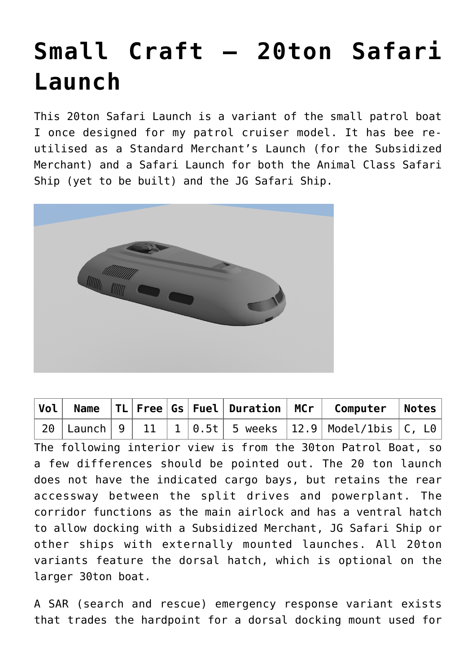## **[Small Craft – 20ton Safari](http://traveller.chromeblack.com/small-craft-20ton-safari-launch/) [Launch](http://traveller.chromeblack.com/small-craft-20ton-safari-launch/)**

This 20ton Safari Launch is a variant of the small patrol boat I once designed for my patrol cruiser model. It has bee reutilised as a Standard Merchant's Launch (for the [Subsidized](http://traveller.chromeblack.com/a-dummy-collection-of-old-news-09/) [Merchant](http://traveller.chromeblack.com/a-dummy-collection-of-old-news-09/)) and a Safari Launch for both the Animal Class Safari Ship (yet to be built) and the [JG Safari Ship](http://traveller.chromeblack.com/starship-200ton-jg-safari-ship/).



|  |  |  |  | $\mid$ Vol $\mid$ Name $\mid$ TL $\mid$ Free $\mid$ Gs $\mid$ Fuel $\mid$ Duration $\mid$ MCr $\mid$ Computer $\mid$ Notes $\mid$ |  |
|--|--|--|--|-----------------------------------------------------------------------------------------------------------------------------------|--|
|  |  |  |  |                                                                                                                                   |  |

The following interior view is from the 30ton Patrol Boat, so a few differences should be pointed out. The 20 ton launch does not have the indicated cargo bays, but retains the rear accessway between the split drives and powerplant. The corridor functions as the main airlock and has a ventral hatch to allow docking with a Subsidized Merchant, JG Safari Ship or other ships with externally mounted launches. All 20ton variants feature the dorsal hatch, which is optional on the larger 30ton boat.

A SAR (search and rescue) emergency response variant exists that trades the hardpoint for a dorsal docking mount used for